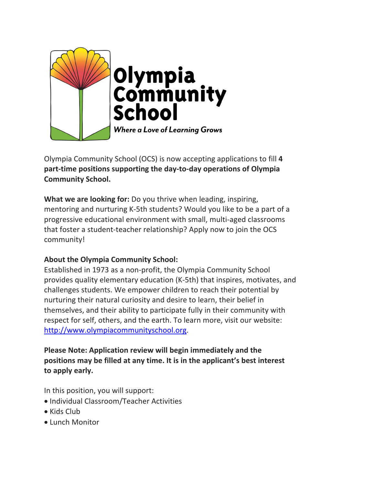

Olympia Community School (OCS) is now accepting applications to fill **4 part-time positions supporting the day-to-day operations of Olympia Community School.**

**What we are looking for:** Do you thrive when leading, inspiring, mentoring and nurturing K-5th students? Would you like to be a part of a progressive educational environment with small, multi-aged classrooms that foster a student-teacher relationship? Apply now to join the OCS community!

## **About the Olympia Community School:**

Established in 1973 as a non-profit, the Olympia Community School provides quality elementary education (K-5th) that inspires, motivates, and challenges students. We empower children to reach their potential by nurturing their natural curiosity and desire to learn, their belief in themselves, and their ability to participate fully in their community with respect for self, others, and the earth. To learn more, visit our website: http://www.olympiacommunityschool.org.

# **Please Note: Application review will begin immediately and the positions may be filled at any time. It is in the applicant's best interest to apply early.**

In this position, you will support:

- Individual Classroom/Teacher Activities
- Kids Club
- Lunch Monitor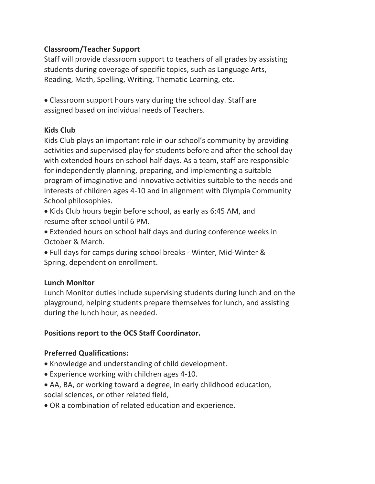## **Classroom/Teacher Support**

Staff will provide classroom support to teachers of all grades by assisting students during coverage of specific topics, such as Language Arts, Reading, Math, Spelling, Writing, Thematic Learning, etc.

• Classroom support hours vary during the school day. Staff are assigned based on individual needs of Teachers.

## **Kids Club**

Kids Club plays an important role in our school's community by providing activities and supervised play for students before and after the school day with extended hours on school half days. As a team, staff are responsible for independently planning, preparing, and implementing a suitable program of imaginative and innovative activities suitable to the needs and interests of children ages 4-10 and in alignment with Olympia Community School philosophies.

- Kids Club hours begin before school, as early as 6:45 AM, and resume after school until 6 PM.
- Extended hours on school half days and during conference weeks in October & March.
- Full days for camps during school breaks Winter, Mid-Winter & Spring, dependent on enrollment.

## **Lunch Monitor**

Lunch Monitor duties include supervising students during lunch and on the playground, helping students prepare themselves for lunch, and assisting during the lunch hour, as needed.

# **Positions report to the OCS Staff Coordinator.**

## **Preferred Qualifications:**

- Knowledge and understanding of child development.
- Experience working with children ages 4-10.
- AA, BA, or working toward a degree, in early childhood education, social sciences, or other related field,
- OR a combination of related education and experience.